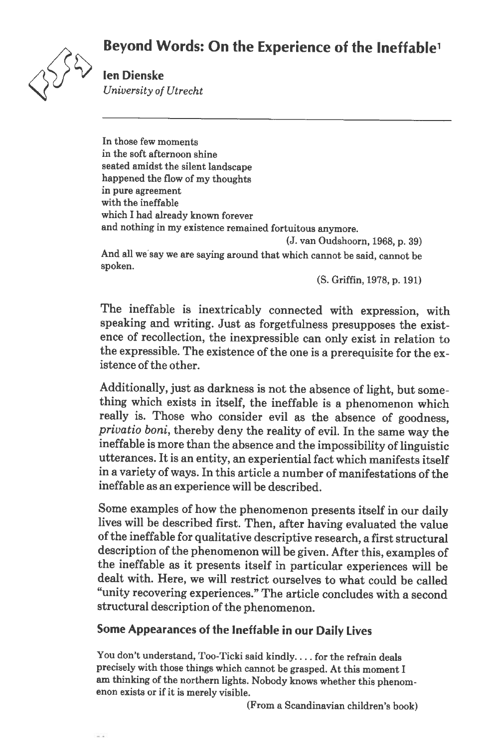# Beyond Words: On the Experience of the Ineffablel



Ien Dienske University of Utrecht

In those few moments in the soft afternoon shine seated amidst the silent landscape happened the flow of my thoughts in pure agreement with the ineffable which I had already known forever and nothing in my existence remained fortuitous anymore. (J. van Oudshoorn, 1968, p. 39)

And all we say we are saying around that which cannot be said, cannot be spoken.

(S. Griffin, 1978, p. 191)

The ineffable is inextricably connected with expression, with speaking and writing. Just as forgetfulness presupposes the exist ence of recollection, the inexpressible can only exist in relation to the expressible. The existence of the one is a prerequisite for the existence of the other.

Additionally, just as darkness is not the absence of light, but some thing which exists in itself, the ineffable is <sup>a</sup> phenomenon which really is. Those who consider evil as the absence of goodness, privatio boni, thereby deny the reality of evil. In the same way the ineffable is more than the absence and the impossibility of linguistic utterances. Itis an entity, an experiential fact which manifests itself in a variety of ways. In this article a number of manifestations of the ineffable as an experience will be described.

Some examples of how the phenomenon presents itself in our daily lives will be described first. Then, after having evaluated the value of the ineffable for qualitative descriptive research, a first structural description of the phenomenon will be given. After this, examples of the ineffable as it presents itself in particular experiences will be dealt with. Here, we will restrict ourselves to what could be called "unity recovering experiences." The article concludes with <sup>a</sup> second structural description of the phenomenon.

## Some Appearances of the Ineffable in our Daily Lives

27

You don't understand, Too-Ticki said kindly. . . . for the refrain deals precisely with those things which cannot be grasped. At this moment I am thinking of the northern lights. Nobody knows whether this phenom enon exists or if it is merely visible.

(From <sup>a</sup> Scandinavian children's book)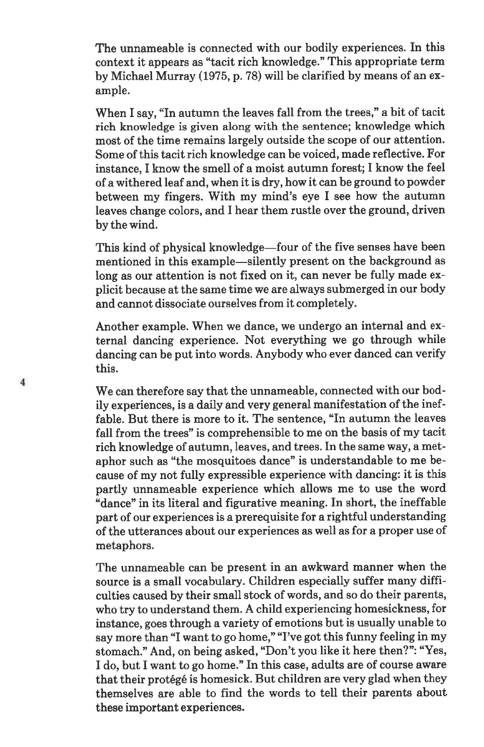The unnameable is connected with our bodily experiences. In this context it appears as "tacit rich knowledge." This appropriate term by Michael Murray (1975, p. 78) will be clarified by means of an ex ample.

When <sup>I</sup> say, "In autumn the leaves fall from the trees," <sup>a</sup> bit of tacit rich knowledge is given along with the sentence; knowledge which most of the time remains largely outside the scope of our attention. Some of this tacit rich knowledge can be voiced, made reflective. For instance, I know the smell of <sup>a</sup> moist autumn forest; I know the feel of <sup>a</sup> withered leaf and, when itis dry, how it can be ground to powder between my fingers. With my mind's eye I see how the autumn leaves change colors, and <sup>I</sup> hear them rustle over the ground, driven by the wind.

This kind of physical knowledge—four of the five senses have been mentioned in this example—silently present on the background as long as our attention is not fixed on it, can never be fully made explicit because at the same time we are always submerged in our body and cannot dissociate ourselves from it completely.

Another example. When we dance, we undergo an internal and ex ternal dancing experience. Not everything we go through while dancing can be put into words. Anybody who ever danced can verify this.

We can therefore say that the unnameable, connected with our bod ily experiences, is a daily and very general manifestation of the ineffable. But there is more to it. The sentence, "In autumn the leaves fall from the trees" is comprehensible to me on the basis of my tacit rich knowledge of autumn, leaves, and trees. In the same way, <sup>a</sup> met aphor such as "the mosquitoes dance" is understandable to me be cause of my not fully expressible experience with dancing: it is this partly unnameable experience which allows me to use the word "dance" in its literal and figurative meaning. In short, the ineffable part of our experiences is <sup>a</sup> prerequisite for <sup>a</sup> rightful understanding of the utterances about our experiences as well as for a proper use of metaphors.

The unnameable can be present in an awkward manner when the source is <sup>a</sup> small vocabulary. Children especially suffer many diffi culties caused by their small stock of words, and so do their parents, who try to understand them. A child experiencing homesickness, for instance, goes through <sup>a</sup> variety of emotions but is usually unable to say more than "I want to go home," "I've got this funny feeling in my stomach." And, on being asked, "Don't you like it here then?": "Yes, I do, but I want to go home." In this case, adults are of course aware that their protégé is homesick. But children are very glad when they themselves are able to find the words to tell their parents about these important experiences.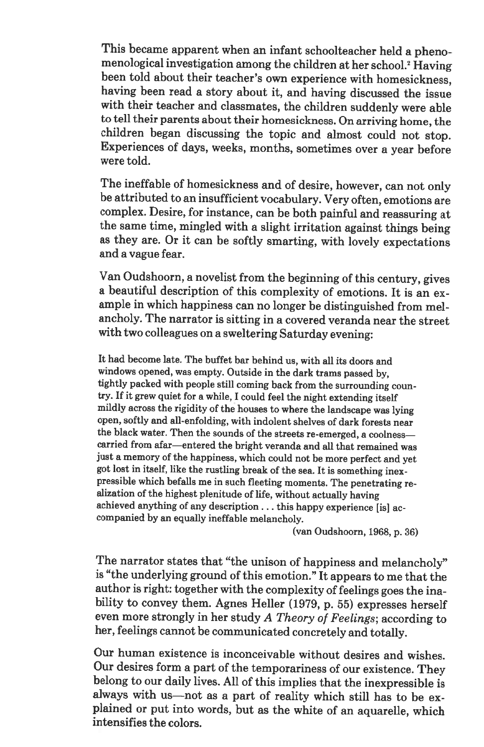This became apparent when an infant schoolteacher held <sup>a</sup> pheno menological investigation among the children at her school.2 Having been told about their teacher's own experience with homesickness, having been read <sup>a</sup> story about it, and having discussed the issue with their teacher and classmates, the children suddenly were able to tell their parents about their homesickness. On arriving home, the children began discussing the topic and almost could not stop. Experiences of days, weeks, months, sometimes over <sup>a</sup> year before were told.

The ineffable of homesickness and of desire, however, can not only be attributed to an insufficient vocabulary. Very often, emotions are complex. Desire, for instance, can be both painful and reassuring at the same time, mingled with <sup>a</sup> slight irritation against things being as they are. Or it can be softly smarting, with lovely expectations and <sup>a</sup> vague fear.

Van Oudshoorn, <sup>a</sup> novelist from the beginning of this century, gives <sup>a</sup> beautiful description of this complexity of emotions. It is an ex ample in which happiness can no longer be distinguished from mel ancholy. The narrator is sitting in <sup>a</sup> covered veranda near the street with two colleagues on a sweltering Saturday evening:

It had become late. The buffet bar behind us, with all its doors and windows opened, was empty. Outside in the dark trams passed by, tightly packed with people still coming back from the surrounding coun try. If it grew quiet for <sup>a</sup> while, I could feel the night extending itself mildly across the rigidity of the houses to where the landscape was lying open, softly and all-enfolding, with indolent shelves of dark forests near the black water. Then the sounds of the streets re-emerged, <sup>a</sup> coolness carried from afar—entered the bright veranda and all that remained was just <sup>a</sup> memory of the happiness, which could not be more perfect and yet got lost in itself, like the rustling break of the sea. It is something inex pressible which befalls me in such fleeting moments. The penetrating re alixation of the highest plenitude of life, without actually having achieved anything of any description. . . this happy experience [is] ac companied by an equally ineffable melancholy.

(van Oudshoorn, 1968, p. 36)

The narrator states that "the unison of happiness and melancholy" is "the underlying ground of this emotion." It appears to me that the author is right: together with the complexity of feelings goes the inability to convey them. Agnes Heller (1979, p. 55) expresses herself even more strongly in her study A Theory of Feelings; according to her, feelings cannot be communicated concretely and totally.

Our human existence is inconceivable without desires and wishes. Our desires form <sup>a</sup> part of the temporariness of our existence. They belong to our daily lives. All of this implies that the inexpressible is always with us—not as <sup>a</sup> part of reality which still has to be ex plained or put into words, but as the white of an aquarelle, which intensifies the colors.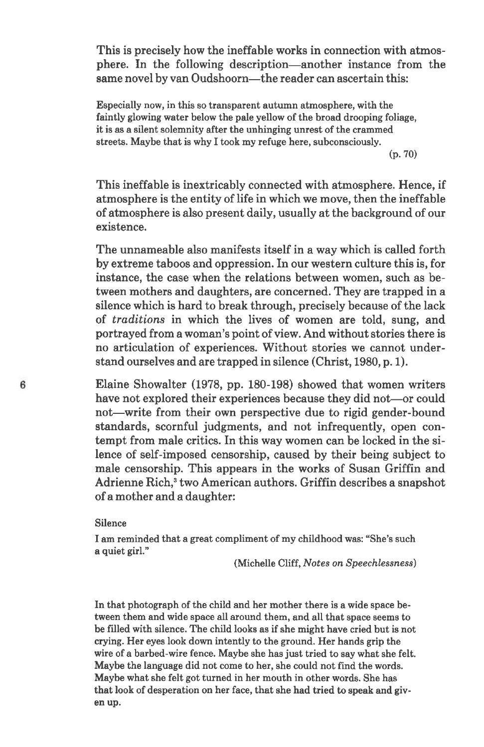This is precisely how the ineffable works in connection with atmos phere. In the following description—another instance from the same novel by van Oudshoorn—the reader can ascertain this:

Especially now, in this so transparent autumn atmosphere, with the faintly glowing water below the pale yellow of the broad drooping foliage, it is as <sup>a</sup> silent solemnity after the unhinging unrest of the crammed streets. Maybe that is why I took my refuge here, subconsciously.

(p. 70)

This ineffable is inextricably connected with atmosphere. Hence, if atmosphere is the entity of life in which we move, then the ineffable of atmosphere is also present daily, usually at the background of our existence.

The unnameable also manifests itself in <sup>a</sup> way which is called forth by extreme taboos and oppression. In our western culture this is, for instance, the case when the relations between women, such as be tween mothers and daughters, are concerned. They are trapped in <sup>a</sup> silence which is hard to break through, precisely because of the lack of traditions in which the lives of women are told, sung, and portrayed from <sup>a</sup> woman's point of view. And without stories there is no articulation of experiences. Without stories we cannot under stand ourselves and are trapped in silence (Christ, 1980, p. 1).

Elaine Showalter (1978, pp. 180-198) showed that women writers have not explored their experiences because they did not—or could not—write from their own perspective due to rigid gender-bound standards, scornful judgments, and not infrequently, open con tempt from male critics. In this way women can be locked in the si lence of self-imposed censorship, caused by their being subject to male censorship. This appears in the works of Susan Griffin and Adrienne Rich,<sup>3</sup> two American authors. Griffin describes a snapshot of <sup>a</sup> mother and <sup>a</sup> daughter:

#### Silence

<sup>I</sup> am reminded that <sup>a</sup> great compliment of my childhood was: "She's such <sup>a</sup> quiet girl."

(Michelle Cliff, Notes on Speechlessness)

In that photograph of the child and her mother there is <sup>a</sup> wide space be tween them and wide space all around them, and all that space seems to be filled with silence. The child looks as if she might have cried but is not crying. Her eyes look down intently to the ground. Her hands grip the wire of <sup>a</sup> barbed-wire fence. Maybe she has just tried to say what she felt. Maybe the language did not come to her, she could not find the words. Maybe what she felt got turned in her mouth in other words. She has that look of desperation on her face, that she had tried to speak and giv en up.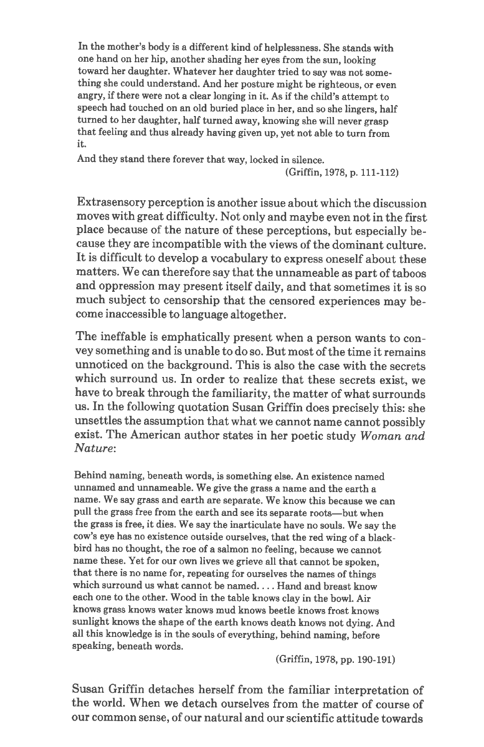In the mother's body is <sup>a</sup> different kind of helplessness. She stands with one hand on her hip, another shading her eyes from the sun, looking toward her daughter. Whatever her daughter tried to say was not some thing she could understand. And her posture might be righteous, or even angry, if there were not <sup>a</sup> clear longing in it. As if the child's attempt to speech had touched on an old buried place in her, and so she lingers, half turned to her daughter, half turned away, knowing she will never grasp that feeling and thus already having given up, yet not able to turn from it.

And they stand there forever that way, locked in silence. (Griffin, 1978, p. 111-112)

Extrasensory perception is another issue about which the discussion moves with great difficulty. Not only and maybe even not in the first place because of the nature of these perceptions, but especially be cause they are incompatible with the views of the dominant culture. It is difficult to develop a vocabulary to express oneself about these matters. We can therefore say that the unnameable as part of taboos and oppression may present itself daily, and that sometimes it is so much subject to censorship that the censored experiences may be come inaccessible to language altogether.

The ineffable is emphatically present when <sup>a</sup> person wants to con vey something and is unable to do so. But most of the time it remains unnoticed on the background. This is also the case with the secrets which surround us. In order to realize that these secrets exist, we have to break through the familiarity, the matter of what surrounds us. In the following quotation Susan Griffin does precisely this: she unsettles the assumption that what we cannot name cannot possibly exist. The American author states in her poetic study Woman and Nature:

Behind naming, beneath words, is something else. An existence named unnamed and unnameable. We give the grass <sup>a</sup> name and the earth <sup>a</sup> name. We say grass and earth are separate. We know this because we can pull the grass free from the earth and see its separate roots—but when the grass is free, it dies. We say the inarticulate have no souls. We say the cow's eye has no existence outside ourselves, that the red wing of <sup>a</sup> black bird has no thought, the roe of <sup>a</sup> salmon no feeling, because we cannot name these. Yet for our own lives we grieve all that cannot be spoken, that there is no name for, repeating for ourselves the names of things which surround us what cannot be named. . . . Hand and breast know each one to the other. Wood in the table knows clay in the bowl. Air knows grass knows water knows mud knows beetle knows frost knows sunlight knows the shape of the earth knows death knows not dying. And all this knowledge is in the souls of everything, behind naming, before speaking, beneath words.

(Griffin, 1978, pp. 190-191)

Susan Griffin detaches herself from the familiar interpretation of the world. When we detach ourselves from the matter of course of our common sense, of our natural and our scientific attitude towards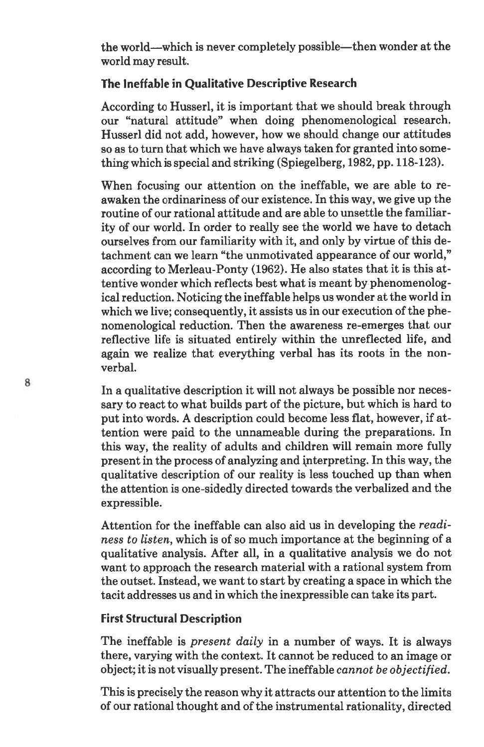the world—which is never completely possible—then wonder at the world may result.

## The Ineffable in Qualitative Descriptive Research

According to Husserl, it is important that we should break through our "natural attitude" when doing phenomenological research. Husserl did not add, however, how we should change our attitudes so as to turn that which we have always taken for granted into some thing which is special and striking (Spiegelberg, 1982, pp. 118-123).

When focusing our attention on the ineffable, we are able to re awaken the ordinariness of our existence. In this way, we give up the routine of our rational attitude and are able to unsettle the familiar ity of our world. In order to really see the world we have to detach ourselves from our familiarity with it, and only by virtue of this de tachment can we learn "the unmotivated appearance of our world," according to Merleau-Ponty (1962). He also states that it is this at tentive wonder which reflects best what is meant by phenomenolog ical reduction. Noticing the ineffable helps us wonder at the world in which we live; consequently, it assists us in our execution of the phenomenological reduction. Then the awareness re-emerges that our reflective life is situated entirely within the unreflected life, and again we realize that everything verbal has its roots in the non verbal.

In <sup>a</sup> qualitative description it will not always be possible nor neces sary to react to what builds part of the picture, but which is hard to put into words. A description could become less flat, however, if at tention were paid to the unnameable during the preparations. In this way, the reality of adults and children will remain more fully present in the process of analyzing and interpreting. In this way, the qualitative description of our reality is less touched up than when the attention is one-sidedly directed towards the verbalized and the expressible.

Attention for the ineffable can also aid us in developing the readi ness to listen, which is of so much importance at the beginning of <sup>a</sup> qualitative analysis. After all, in <sup>a</sup> qualitative analysis we do not want to approach the research material with <sup>a</sup> rational system from the outset. Instead, we want to start by creating <sup>a</sup> space in which the tacit addresses us and in which the inexpressible can take its part.

# First Structural Description

The ineffable is *present daily* in a number of ways. It is always there, varying with the context. It cannot be reduced to an image or object; it is not visually present. The ineffable cannot be objectified.

This is precisely the reason why it attracts our attention to the limits of our rational thought and of the instrumental rationality, directed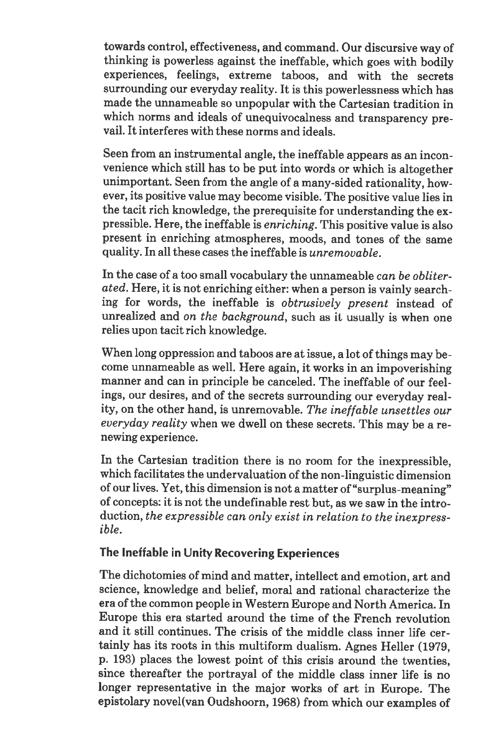towards control, effectiveness, and command. Our discursive way of thinking is powerless against the ineffable, which goes with bodily experiences, feelings, extreme taboos, and with the secrets surrounding our everyday reality. It is this powerlessness which has made the unnameable so unpopular with the Cartesian tradition in which norms and ideals of unequivocalness and transparency pre vail. Itinterferes with these norms and ideals.

Seen from an instrumental angle, the ineffable appears as an incon venience which still has to be put into words or which is altogether unimportant. Seen from the angle of <sup>a</sup> many-sided rationality, how ever, its positive value may become visible. The positive value lies in the tacit rich knowledge, the prerequisite for understanding the ex pressible. Here, the ineffable is enriching. This positive value is also present in enriching atmospheres, moods, and tones of the same quality. In all these cases the ineffable is unremovable.

In the case of <sup>a</sup> too small vocabulary the unnameable can be obliter ated. Here, it is not enriching either: when <sup>a</sup> person is vainly search ing for words, the ineffable is obtrusively present instead of unrealized and on the background, such as it usually is when one relies upon tacit rich knowledge.

When long oppression and taboos are at issue, a lot of things may become unnameable as well. Here again, it works in an impoverishing manner and can in principle be canceled. The ineffable of our feel ings, our desires, and of the secrets surrounding our everyday real ity, on the other hand, is unremovable. The ineffable unsettles our everyday reality when we dwell on these secrets. This may be <sup>a</sup> re newing experience.

In the Cartesian tradition there is no room for the inexpressible, which facilitates the undervaluation of the non-linguistic dimension of our lives. Yet, this dimension is not <sup>a</sup> matter of"surplus-meaning" of concepts: it is not the undefinable rest but, as we saw in the intro duction, the expressible can only exist in relation to the inexpressible.

## The Ineffable in Unity Recovering Experiences

The dichotomies of mind and matter, intellect and emotion, art and science, knowledge and belief, moral and rational characterize the era of the common people in Western Europe and North America. In Europe this era started around the time of the French revolution and it still continues. The crisis of the middle class inner life cer tainly has its roots in this multiform dualism. Agnes Heller (1979, p. 193) places the lowest point of this crisis around the twenties, since thereafter the portrayal of the middle class inner life is no longer representative in the major works of art in Europe. The epistolary novel(van Oudshoorn, 1968) from which our examples of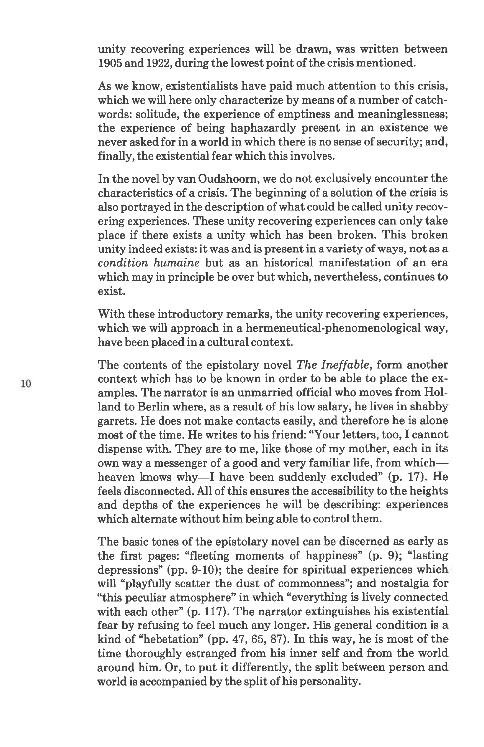unity recovering experiences will be drawn, was written between 1905 and 1922, during the lowest point of the crisis mentioned.

As we know, existentialists have paid much attention to this crisis, which we will here only characterize by means of <sup>a</sup> number of catch words: solitude, the experience of emptiness and meaninglessness; the experience of being haphazardly present in an existence we never asked for in <sup>a</sup> world in which there is no sense of security; and, finally, the existential fear which this involves.

In the novel by van Oudshoorn, we do not exclusively encounter the characteristics of <sup>a</sup> crisis. The beginning of <sup>a</sup> solution of the crisis is also portrayed in the description of what could be called unity recov ering experiences. These unity recovering experiences can only take place if there exists <sup>a</sup> unity which has been broken. This broken unity indeed exists: it was and is present in <sup>a</sup> variety of ways, not as <sup>a</sup> condition humaine but as an historical manifestation of an era which may in principle be over but which, nevertheless, continues to exist.

With these introductory remarks, the unity recovering experiences, which we will approach in a hermeneutical-phenomenological way, have been placed in <sup>a</sup> cultural context.

The contents of the epistolary novel The Ineffable, form another context which has to be known in order to be able to place the ex amples. The narrator is an unmarried official who moves from Hol land to Berlin where, as <sup>a</sup> result of his low salary, he lives in shabby garrets. He does not make contacts easily, and therefore he is alone most of the time. He writes to his friend: "Your letters, too, I cannot dispense with. They are to me, like those of my mother, each in its own way <sup>a</sup> messenger of <sup>a</sup> good and very familiar life, from which heaven knows why—I have been suddenly excluded" (p. 17). He feels disconnected. All of this ensures the accessibility to the heights and depths of the experiences he will be describing: experiences which alternate without him being able to control them.

The basic tones of the epistolary novel can be discerned as early as the first pages: "fleeting moments of happiness" (p. 9); "lasting depressions" (pp. 9-10); the desire for spiritual experiences which will "playfully scatter the dust of commonness"; and nostalgia for "this peculiar atmosphere" in which "everything is lively connected with each other" (p. 117). The narrator extinguishes his existential fear by refusing to feel much any longer. His general condition is <sup>a</sup> kind of "hebetation" (pp. 47, 65, 87). In this way, he is most of the time thoroughly estranged from his inner self and from the world around him. Or, to put it differently, the split between person and world is accompanied by the split of his personality.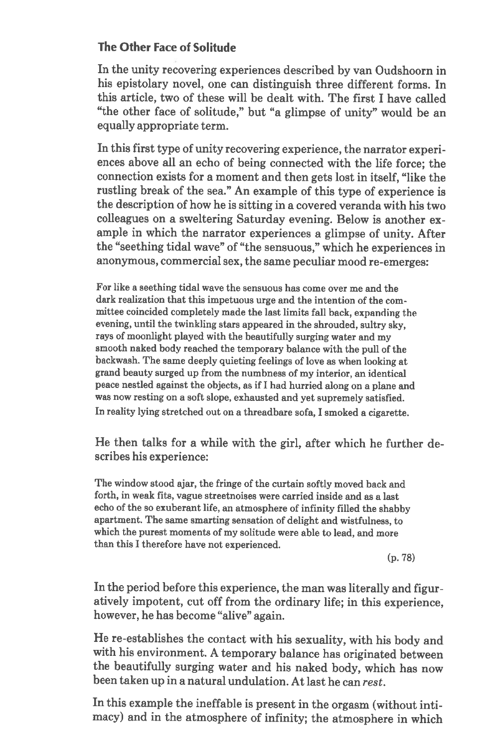# The Other Face of Solitude

In the unity recovering experiences described by van Oudshoorn in his epistolary novel, one can distinguish three different forms. In this article, two of these will be dealt with. The first I have called "the other face of solitude," but "a glimpse of unity" would be an equally appropriate term.

In this first type of unity recovering experience, the narrator experi ences above all an echo of being connected with the life force; the connection exists for <sup>a</sup> moment and then gets lost in itself, "like the rustling break of the sea." An example of this type of experience is the description of how he is sitting in <sup>a</sup> covered veranda with his two colleagues on <sup>a</sup> sweltering Saturday evening. Below is another ex ample in which the narrator experiences <sup>a</sup> glimpse of unity. After the "seething tidal wave" of "the sensuous," which he experiences in anonymous, commercial sex, the same peculiar mood re-emerges:

For like <sup>a</sup> seething tidal wave the sensuous has come over me and the dark realization that this impetuous urge and the intention of the com mittee coincided completely made the last limits fall back, expanding the evening, until the twinkling stars appeared in the shrouded, sultry sky, rays of moonlight played with the beautifully surging water and my smooth naked body reached the temporary balance with the pull of the backwash. The same deeply quieting feelings of love as when looking at grand beauty surged up from the numbness of my interior, an identical peace nestled against the objects, as if I had hurried along on <sup>a</sup> plane and was now resting on <sup>a</sup> soft slope, exhausted and yet supremely satisfied. In reality lying stretched out on <sup>a</sup> threadbare sofa, I smoked <sup>a</sup> cigarette.

He then talks for <sup>a</sup> while with the girl, after which he further de scribes his experience:

The window stood ajar, the fringe of the curtain softly moved back and forth, in weak fits, vague streetnoises were carried inside and as <sup>a</sup> last echo of the so exuberant life, an atmosphere of infinity filled the shabby apartment. The same smarting sensation of delight and wistfulness, to which the purest moments of my solitude were able to lead, and more than this I therefore have not experienced.

(p. 78)

In the period before this experience, the man was literally and figur atively impotent, cut off from the ordinary life; in this experience, however, he has become "alive" again.

He re-establishes the contact with his sexuality, with his body and with his environment. A temporary balance has originated between the beautifully surging water and his naked body, which has now been taken up in <sup>a</sup> natural undulation. Atlast he can rest.

In this example the ineffable is present in the orgasm (without inti macy) and in the atmosphere of infinity; the atmosphere in which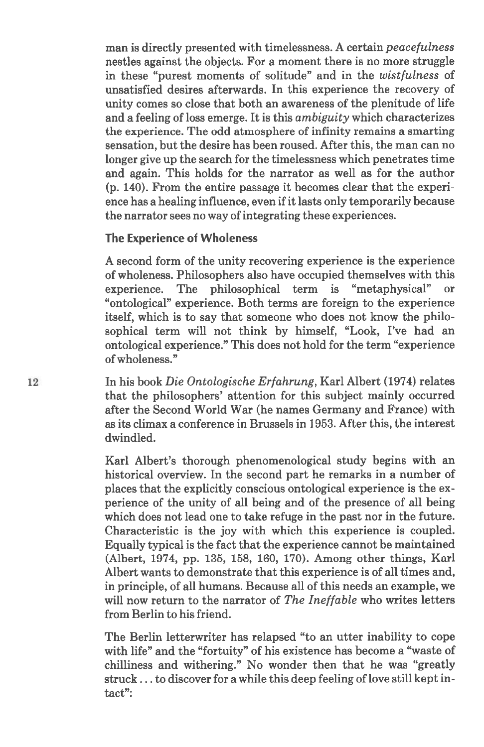man is directly presented with timelessness. A certain peacefulness nestles against the objects. For <sup>a</sup> moment there is no more struggle in these "purest moments of solitude" and in the wistfulness of unsatisfied desires afterwards. In this experience the recovery of unity comes so close that both an awareness of the plenitude of life and a feeling of loss emerge. It is this *ambiguity* which characterizes the experience. The odd atmosphere of infinity remains <sup>a</sup> smarting sensation, but the desire has been roused. After this, the man can no longer give up the search for the timelessness which penetrates time and again. This holds for the narrator as well as for the author (p. 140). From the entire passage it becomes clear that the experi ence has a healing influence, even if it lasts only temporarily because the narrator sees no way of integrating these experiences.

## The Experience of Wholeness

<sup>A</sup> second form of the unity recovering experience is the experience of wholeness. Philosophers also have occupied themselves with this experience. The philosophical term is "metaphysical" or "ontological" experience. Both terms are foreign to the experience itself, which is to say that someone who does not know the philo sophical term will not think by himself, "Look, I've had an ontological experience." This does not hold for the term "experience of wholeness."

In his book Die Ontologische Erfahrung, Karl Albert (1974) relates that the philosophers' attention for this subject mainly occurred after the Second World War (he names Germany and France) with as its climax <sup>a</sup> conference in Brussels in 1953. After this, the interest dwindled.

Karl Albert's thorough phenomenological study begins with an historical overview. In the second part he remarks in <sup>a</sup> number of places that the explicitly conscious ontological experience is the ex perience of the unity of all being and of the presence of all being which does not lead one to take refuge in the past nor in the future. Characteristic is the joy with which this experience is coupled. Equally typical is the fact that the experience cannot be maintained (Albert, 1974, pp. 135, 158, 160, 170). Among other things, Karl Albert wants to demonstrate that this experience is of all times and, in principle, of all humans. Because all of this needs an example, we will now return to the narrator of The Ineffable who writes letters from Berlin to his friend.

The Berlin letterwriter has relapsed "to an utter inability to cope with life" and the "fortuity" of his existence has become <sup>a</sup> "waste of chilliness and withering." No wonder then that he was "greatly struck... to discover for a while this deep feeling of love still kept intact":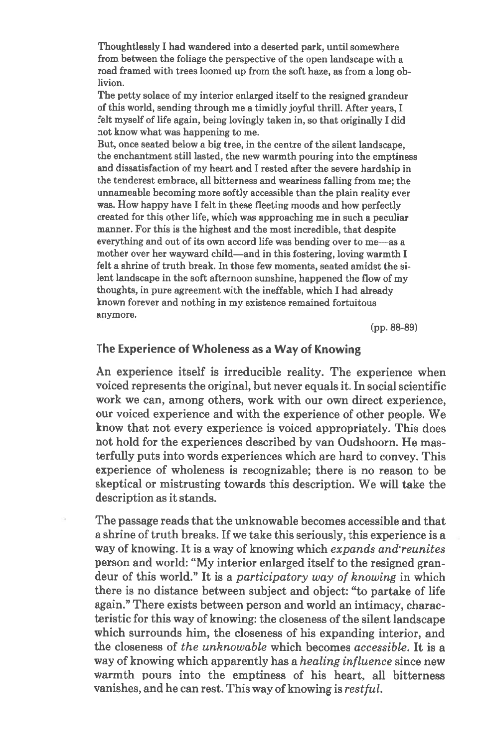Thoughtlessly I had wandered into <sup>a</sup> deserted park, until somewhere from between the foliage the perspective of the open landscape with <sup>a</sup> road framed with trees loomed up from the soft haze, as from <sup>a</sup> long ob livion.

The petty solace of my interior enlarged itself to the resigned grandeur of this world, sending through me <sup>a</sup> timidly joyful thrill. After years, I felt myself of life again, being lovingly taken in, so that originally I did not know what was happening to me.

But, once seated below <sup>a</sup> big tree, in the centre of the silent landscape, the enchantment still lasted, the new warmth pouring into the emptiness and dissatisfaction of my heart and I rested after the severe hardship in the tenderest embrace, all bitterness and weariness falling from me; the unnameable becoming more softly accessible than the plain reality ever was. How happy have I felt in these fleeting moods and how perfectly created for this other life, which was approaching me in such <sup>a</sup> peculiar manner. For this is the highest and the most incredible, that despite everything and out of its own accord life was bending over to me—as <sup>a</sup> mother over her wayward child—and in this fostering, loving warmth I felt <sup>a</sup> shrine of truth break. In those few moments, seated amidst the si lent landscape in the soft afternoon sunshine, happened the flow of my thoughts, in pure agreement with the ineffable, which I had already known forever and nothing in my existence remained fortuitous anymore.

(pp. 88-89)

#### The Experience of Wholeness as <sup>a</sup> Way of Knowing

An experience itself is irreducible reality. The experience when voiced represents the original, but never equals it. In social scientific work we can, among others, work with our own direct experience, our voiced experience and with the experience of other people. We know that not every experience is voiced appropriately. This does not hold for the experiences described by van Oudshoorn. He mas terfully puts into words experiences which are hard to convey. This experience of wholeness is recognizable; there is no reason to be skeptical or mistrusting towards this description. We will take the description as it stands.

The passage reads that the unknowable becomes accessible and that a shrine of truth breaks. If we take this seriously, this experience is a way of knowing. It is a way of knowing which expands and reunites person and world: "My interior enlarged itself to the resigned gran deur of this world." It is <sup>a</sup> participatory way of knowing in which there is no distance between subject and object: "to partake of life again." There exists between person and world an intimacy, charac teristic for this way of knowing: the closeness of the silent landscape which surrounds him, the closeness of his expanding interior, and the closeness of the unknowable which becomes accessible. It is a way of knowing which apparently has a *healing influence* since new warmth pours into the emptiness of his heart, all bitterness vanishes, and he can rest. This way of knowing is restful.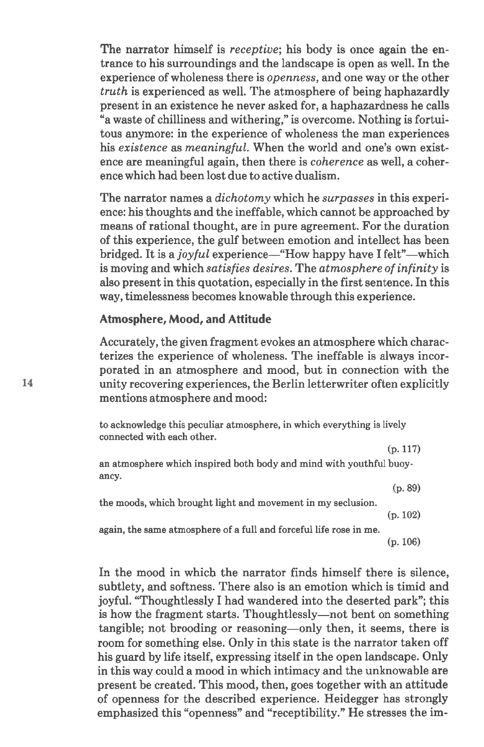The narrator himself is *receptive*; his body is once again the entrance to his surroundings and the landscape is open as well. In the experience of wholeness there is openness, and one way or the other truth is experienced as well. The atmosphere of being haphazardly present in an existence he never asked for, <sup>a</sup> haphazardness he calls "a waste of chilliness and withering," is overcome. Nothing is fortui tous anymore: in the experience of wholeness the man experiences his existence as meaningful. When the world and one's own existence are meaningful again, then there is coherence as well, <sup>a</sup> coher ence which had been lost due to active dualism.

The narrator names a *dichotomy* which he *surpasses* in this experience: his thoughts and the ineffable, which cannot be approached by means of rational thought, are in pure agreement. For the duration of this experience, the gulf between emotion and intellect has been bridged. It is <sup>a</sup> joyful experience—"How happy have I felt"—which is moving and which satisfies desires. The atmosphere of infinity is also present in this quotation, especially in the first sentence. In this way, timelessness becomes knowable through this experience.

#### Atmosphere, Mood, and Attitude

Accurately, the given fragment evokes an atmosphere which charac terizes the experience of wholeness. The ineffable is always incor porated in an atmosphere and mood, but in connection with the unity recovering experiences, the Berlin letterwriter often explicitly mentions atmosphere and mood:

to acknowledge this peculiar atmosphere, in which everything is lively connected with each other.

an atmosphere which inspired both body and mind with youthful buoy ancy.

(p. 89) the moods, which brought light and movement in my seclusion. (p. 102)

again, the same atmosphere of <sup>a</sup> full and forceful life rose in me.

(p. 106)

(p. 117)

In the mood in which the narrator finds himself there is silence, subtlety, and softness. There also is an emotion which is timid and joyful. "Thoughtlessly I had wandered into the deserted park"; this is how the fragment starts. Thoughtlessly—not bent on something tangible; not brooding or reasoning—only then, it seems, there is room for something else. Only in this state is the narrator taken off his guard by life itself, expressing itself in the open landscape. Only in this way could <sup>a</sup> mood in which intimacy and the unknowable are present be created. This mood, then, goes together with an attitude of openness for the described experience. Heidegger has strongly emphasized this "openness" and "receptibility." He stresses the im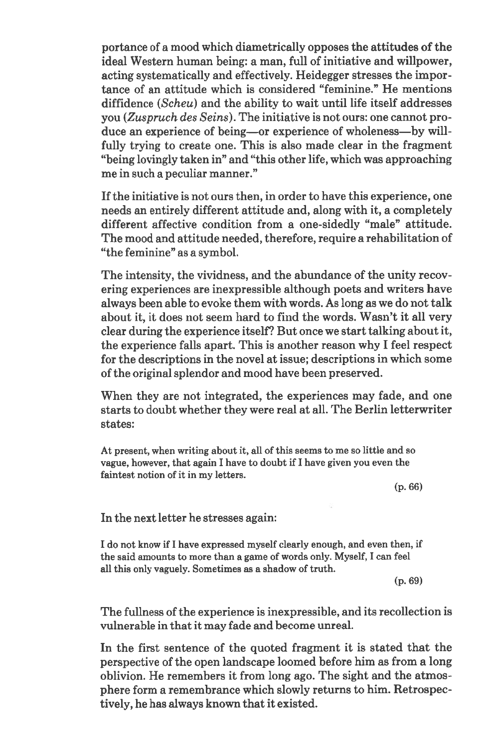portance of a mood which diametrically opposes the attitudes of the ideal Western human being: <sup>a</sup> man, full of initiative and willpower, acting systematically and effectively. Heidegger stresses the impor tance of an attitude which is considered "feminine." He mentions diffidence (Scheu) and the ability to wait until life itself addresses you (Zuspruch des Seins). The initiative is not ours: one cannot pro duce an experience of being—or experience of wholeness—by will fully trying to create one. This is also made clear in the fragment "being lovingly taken in" and "this other life, which was approaching me in such <sup>a</sup> peculiar manner."

If the initiative is not ours then, in order to have this experience, one needs an entirely different attitude and, along with it, <sup>a</sup> completely different affective condition from <sup>a</sup> one-sidedly "male" attitude. The mood and attitude needed, therefore, require <sup>a</sup> rehabilitation of "the feminine" as <sup>a</sup> symbol.

The intensity, the vividness, and the abundance of the unity recov ering experiences are inexpressible although poets and writers have always been able to evoke them with words. As long as we do not talk about it, it does not seem hard to find the words. Wasn't it all very clear during the experience itself? But once we start talking about it, the experience falls apart. This is another reason why I feel respect for the descriptions in the novel at issue; descriptions in which some ofthe original splendor and mood have been preserved.

When they are not integrated, the experiences may fade, and one starts to doubt whether they were real at all. The Berlin letterwriter states:

At present, when writing about it, all of this seems to me so little and so vague, however, that again I have to doubt if I have given you even the faintest notion of it in my letters.

(p. 66)

In the next letter he stresses again:

I do not know if I have expressed myself clearly enough, and even then, if the said amounts to more than <sup>a</sup> game of words only. Myself, I can feel all this only vaguely. Sometimes as <sup>a</sup> shadow of truth.

(p. 69)

The fullness of the experience is inexpressible, and its recollection is vulnerable in that it may fade and become unreal.

In the first sentence of the quoted fragment it is stated that the perspective of the open landscape loomed before him as from a long oblivion. He remembers it from long ago. The sight and the atmos phere form <sup>a</sup> remembrance which slowly returns to him. Retrospec tively, he has always known that it existed.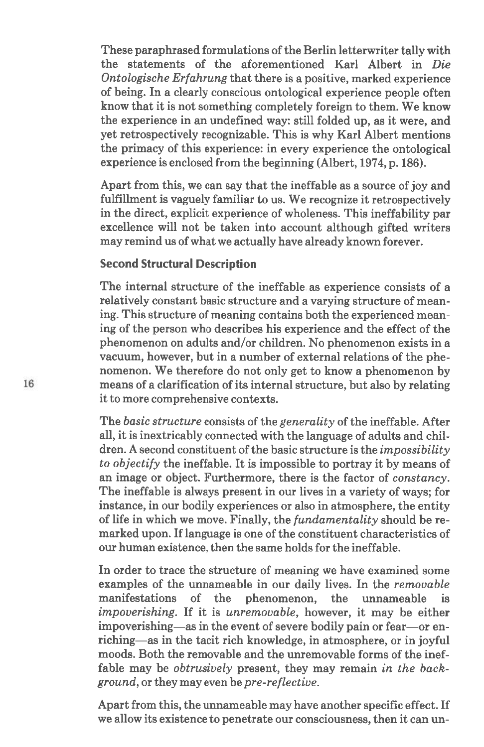These paraphrased formulations of the Berlin letterwriter tally with the statements of the aforementioned Karl Albert in Die Ontologische Erfahrung that there is <sup>a</sup> positive, marked experience of being. In <sup>a</sup> clearly conscious ontological experience people often know that it is not something completely foreign to them. We know the experience in an undefined way: still folded up, as it were, and yet retrospectively recognizable. This is why Karl Albert mentions the primacy of this experience: in every experience the ontological experience is enclosed from the beginning (Albert, 1974, p. 186).

Apart from this, we can say that the ineffable as a source of joy and fulfillment is vaguely familiar to us. We recognize it retrospectively in the direct, explicit experience of wholeness. This ineffability par excellence will not be taken into account although gifted writers may remind us of what we actually have already known forever.

#### **Second Structural Description**

The internal structure of the ineffable as experience consists of <sup>a</sup> relatively constant basic structure and <sup>a</sup> varying structure of mean ing. This structure of meaning contains both the experienced mean ing of the person who describes his experience and the effect of the phenomenon on adults and/or children. No phenomenon exists in <sup>a</sup> vacuum, however, but in <sup>a</sup> number of external relations of the phe nomenon. We therefore do not only get to know <sup>a</sup> phenomenon by means of a clarification of its internal structure, but also by relating it to more comprehensive contexts.

The basic structure consists of the generality of the ineffable. After all, it is inextricably connected with the language of adults and chil dren. A second constituent of the basic structure is the *impossibility* to objectify the ineffable. It is impossible to portray it by means of an image or object. Furthermore, there is the factor of constancy. The ineffable is always present in our lives in <sup>a</sup> variety of ways; for instance, in our bodily experiences or also in atmosphere, the entity of life in which we move. Finally, the fundamentality should be re marked upon. If language is one of the constituent characteristics of our human existence, then the same holds for the ineffable.

In order to trace the structure of meaning we have examined some examples of the unnameable in our daily lives. In the removable manifestations of the phenomenon, the unnameable is impoverishing. If it is unremovable, however, it may be either impoverishing—as in the event of severe bodily pain or fear—or en riching—as in the tacit rich knowledge, in atmosphere, or in joyful moods. Both the removable and the unremovable forms of the inef fable may be *obtrusively* present, they may remain in the background, or they may even be pre-reflective.

Apart from this, the unnameable may have another specific effect. If we allow its existence to penetrate our consciousness, then it can un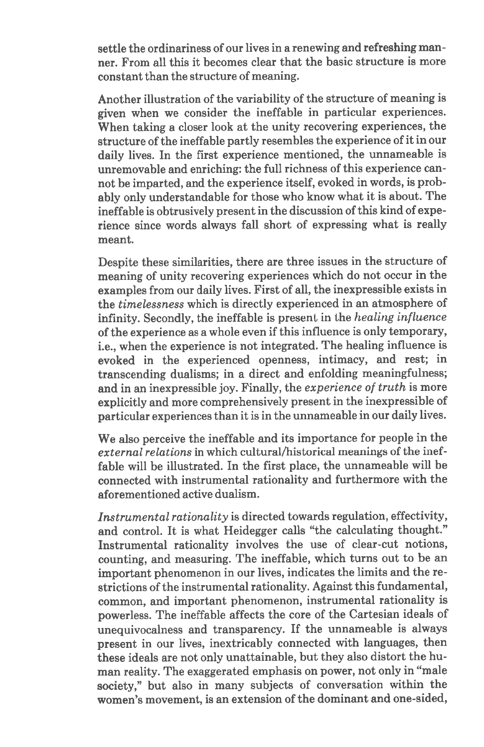settle the ordinariness of our lives in <sup>a</sup> renewing and refreshing man ner. From all this it becomes clear that the basic structure is more constant than the structure of meaning.

Another illustration of the variability of the structure of meaning is given when we consider the ineffable in particular experiences. When taking <sup>a</sup> closer look at the unity recovering experiences, the structure of the ineffable partly resembles the experience of it in our daily lives. In the first experience mentioned, the unnameable is unremovable and enriching: the full richness of this experience cannot be imparted, and the experience itself, evoked in words, is prob ably only understandable for those who know what it is about. The ineffable is obtrusively present in the discussion of this kind of experience since words always fall short of expressing what is really meant.

Despite these similarities, there are three issues in the structure of meaning of unity recovering experiences which do not occur in the examples from our daily lives. First of all, the inexpressible exists in the timelessness which is directly experienced in an atmosphere of infinity. Secondly, the ineffable is present in the healing influence of the experience as a whole even if this influence is only temporary, i.e., when the experience is not integrated. The healing influence is evoked in the experienced openness, intimacy, and rest; in transcending dualisms; in <sup>a</sup> direct and enfolding meaningfulness; and in an inexpressible joy. Finally, the experience of truth is more explicitly and more comprehensively present in the inexpressible of particular experiences than itis in the unnameable in our daily lives.

We also perceive the ineffable and its importance for people in the external relations in which cultural/historical meanings of the ineffable will be illustrated. In the first place, the unnameable will be connected with instrumental rationality and furthermore with the aforementioned active dualism.

Instrumental rationality is directed towards regulation, effectivity, and control. It is what Heidegger calls "the calculating thought." Instrumental rationality involves the use of clear-cut notions, counting, and measuring. The ineffable, which turns out to be an important phenomenon in our lives, indicates the limits and the re strictions of the instrumental rationality. Against this fundamental, common, and important phenomenon, instrumental rationality is powerless. The ineffable affects the core of the Cartesian ideals of unequivocalness and transparency. If the unnameable is always present in our lives, inextricably connected with languages, then these ideals are not only unattainable, but they also distort the hu man reality. The exaggerated emphasis on power, not only in "male society," but also in many subjects of conversation within the women's movement, is an extension of the dominant and one-sided,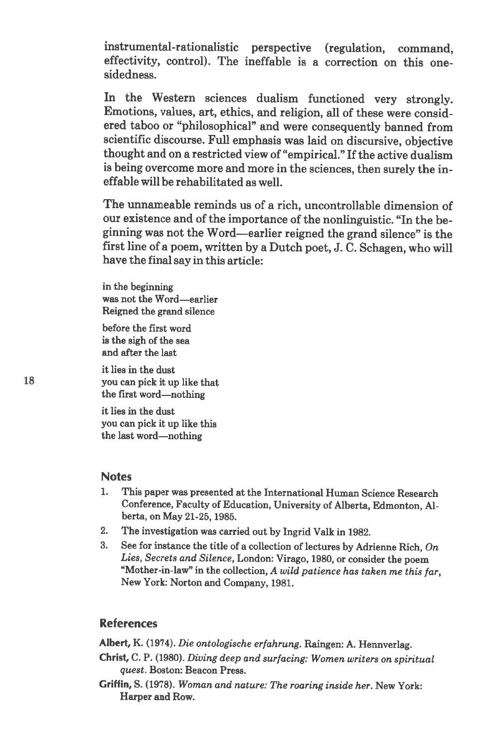instrumental-rationalistic perspective (regulation, command, effectivity, control). The ineffable is <sup>a</sup> correction on this one sidedness.

In the Western sciences dualism functioned very strongly. Emotions, values, art, ethics, and religion, all of these were consid ered taboo or "philosophical" and were consequently banned from scientific discourse. Full emphasis was laid on discursive, objective thought and on a restricted view of "empirical." If the active dualism is being overcome more and more in the sciences, then surely the in effable will be rehabilitated as well.

The unnameable reminds us of <sup>a</sup> rich, uncontrollable dimension of our existence and of the importance of the nonlinguistic. "In the beginning was not the Word—earlier reigned the grand silence" is the first line of <sup>a</sup> poem, written by <sup>a</sup> Dutch poet, J. C. Schagen, who will have the final say in this article:

in the beginning was not the Word—earlier Reigned the grand silence

before the first word is the sigh of the sea and after the last

it lies in the dust you can pick it up like that the first word—nothing

it lies in the dust you can pick it up like this the last word—nothing

#### Notes

- 1. This paper was presented at the International Human Science Research Conference, Faculty of Education, University of Alberta, Edmonton, Al berta, on May 21-25, 1985.
- 2. The investigation was carried out by Ingrid Valk in 1982.
- 3. See for instance the title of a collection of lectures by Adrienne Rich,  $On$ Lies, Secrets and Silence, London: Virago, 1980, or consider the poem 'Mother-in-law" in the collection, A wild patience has taken me this far, New York: Norton and Company, 1981.

#### References

Albert, K. (1974). Die ontologische erfahrung. Raingen: A. Hennverlag.

- Christ, C. P. (1980). Diving deep and surfacing: Women writers on spiritual quest. Boston: Beacon Press.
- Griffin, S. (1978). Woman and nature: The roaring inside her. New York: Harper and Row.